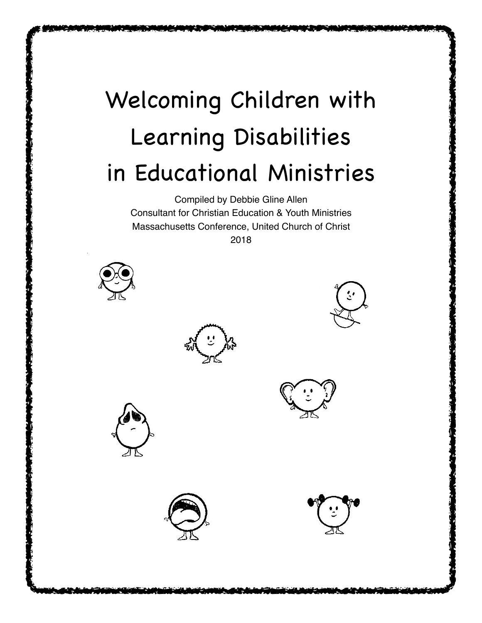# Welcoming Children with Learning Disabilities in Educational Ministries

Compiled by Debbie Gline Allen Consultant for Christian Education & Youth Ministries Massachusetts Conference, United Church of Christ 2018

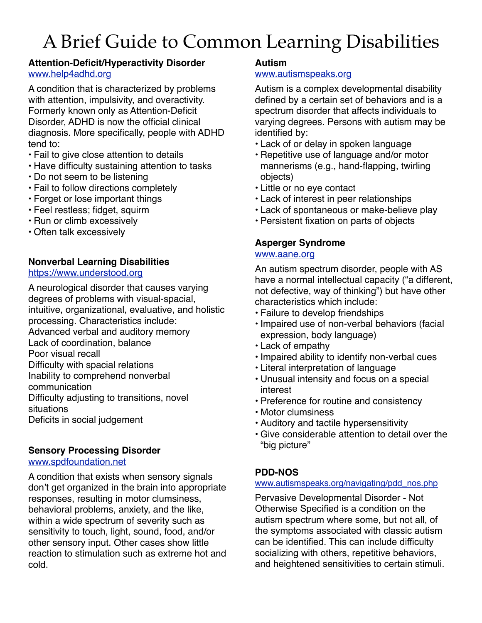## A Brief Guide to Common Learning Disabilities

#### **Attention-Deficit/Hyperactivity Disorder** [www.help4adhd.org](http://www.help4adhd.org)

A condition that is characterized by problems with attention, impulsivity, and overactivity. Formerly known only as Attention-Deficit Disorder, ADHD is now the official clinical diagnosis. More specifically, people with ADHD tend to:

- Fail to give close attention to details
- Have difficulty sustaining attention to tasks
- Do not seem to be listening
- Fail to follow directions completely
- Forget or lose important things
- Feel restless; fidget, squirm
- Run or climb excessively
- Often talk excessively

#### **Nonverbal Learning Disabilities**

#### [https://www.understood.org](https://www.understood.org/en/learning-attention-issues/child-learning-disabilities/nonverbal-learning-disabilities)

A neurological disorder that causes varying degrees of problems with visual-spacial, intuitive, organizational, evaluative, and holistic processing. Characteristics include: Advanced verbal and auditory memory Lack of coordination, balance Poor visual recall Difficulty with spacial relations Inability to comprehend nonverbal communication Difficulty adjusting to transitions, novel situations Deficits in social judgement

#### **Sensory Processing Disorder**

#### [www.spdfoundation.net](http://www.spdfoundation.net)

A condition that exists when sensory signals don't get organized in the brain into appropriate responses, resulting in motor clumsiness, behavioral problems, anxiety, and the like, within a wide spectrum of severity such as sensitivity to touch, light, sound, food, and/or other sensory input. Other cases show little reaction to stimulation such as extreme hot and cold.

#### **Autism**

#### [www.autismspeaks.org](http://www.autismspeaks.org)

Autism is a complex developmental disability defined by a certain set of behaviors and is a spectrum disorder that affects individuals to varying degrees. Persons with autism may be identified by:

- Lack of or delay in spoken language
- Repetitive use of language and/or motor mannerisms (e.g., hand-flapping, twirling objects)
- Little or no eye contact
- Lack of interest in peer relationships
- Lack of spontaneous or make-believe play
- Persistent fixation on parts of objects

#### **Asperger Syndrome**

#### [www.aane.org](http://www.aane.org)

An autism spectrum disorder, people with AS have a normal intellectual capacity ("a different, not defective, way of thinking") but have other characteristics which include:

- Failure to develop friendships
- Impaired use of non-verbal behaviors (facial expression, body language)
- Lack of empathy
- Impaired ability to identify non-verbal cues
- Literal interpretation of language
- Unusual intensity and focus on a special interest
- Preference for routine and consistency
- Motor clumsiness
- Auditory and tactile hypersensitivity
- Give considerable attention to detail over the "big picture"

#### **PDD-NOS**

#### [www.autismspeaks.org/navigating/pdd\\_nos.php](http://www.autismspeaks.org/navigating/pdd_nos.php)

Pervasive Developmental Disorder - Not Otherwise Specified is a condition on the autism spectrum where some, but not all, of the symptoms associated with classic autism can be identified. This can include difficulty socializing with others, repetitive behaviors, and heightened sensitivities to certain stimuli.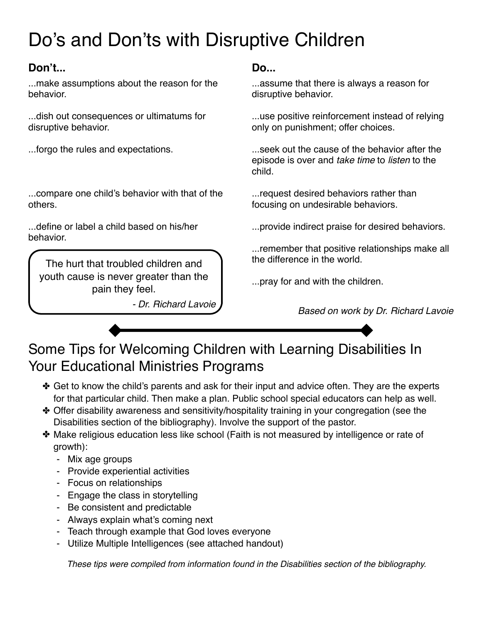## Do's and Don'ts with Disruptive Children

### **Don't...**

...make assumptions about the reason for the behavior.

...dish out consequences or ultimatums for disruptive behavior.

...forgo the rules and expectations.

...compare one child's behavior with that of the others.

...define or label a child based on his/her behavior.

The hurt that troubled children and youth cause is never greater than the pain they feel.

*- Dr. Richard Lavoie*

#### **Do...**

...assume that there is always a reason for disruptive behavior.

...use positive reinforcement instead of relying only on punishment; offer choices.

...seek out the cause of the behavior after the episode is over and *take time* to *listen* to the child.

...request desired behaviors rather than focusing on undesirable behaviors.

...provide indirect praise for desired behaviors.

...remember that positive relationships make all the difference in the world.

...pray for and with the children.

*Based on work by Dr. Richard Lavoie*

## Some Tips for Welcoming Children with Learning Disabilities In Your Educational Ministries Programs

- ✤ Get to know the child's parents and ask for their input and advice often. They are the experts for that particular child. Then make a plan. Public school special educators can help as well.
- ✤ Offer disability awareness and sensitivity/hospitality training in your congregation (see the Disabilities section of the bibliography). Involve the support of the pastor.
- ✤ Make religious education less like school (Faith is not measured by intelligence or rate of growth):
	- Mix age groups
	- Provide experiential activities
	- Focus on relationships
	- Engage the class in storytelling
	- Be consistent and predictable
	- Always explain what's coming next
	- Teach through example that God loves everyone
	- Utilize Multiple Intelligences (see attached handout)

*These tips were compiled from information found in the Disabilities section of the bibliography.*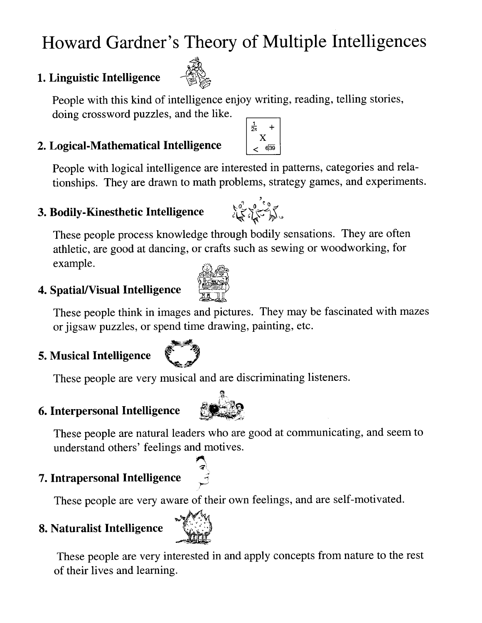## Howard Gardner's Theory of Multiple Intelligences

## 1. Linguistic Intelligence

People with this kind of intelligence enjoy writing, reading, telling stories, doing crossword puzzles, and the like.

## 2. Logical-Mathematical Intelligence

People with logical intelligence are interested in patterns, categories and relationships. They are drawn to math problems, strategy games, and experiments.

### 3. Bodily-Kinesthetic Intelligence

These people process knowledge through bodily sensations. They are often athletic, are good at dancing, or crafts such as sewing or woodworking, for example.

## 4. Spatial/Visual Intelligence

These people think in images and pictures. They may be fascinated with mazes or jigsaw puzzles, or spend time drawing, painting, etc.

## 5. Musical Intelligence

These people are very musical and are discriminating listeners.

#### 6. Interpersonal Intelligence

These people are natural leaders who are good at communicating, and seem to understand others' feelings and motives.

## 7. Intrapersonal Intelligence

These people are very aware of their own feelings, and are self-motivated.

## 8. Naturalist Intelligence

These people are very interested in and apply concepts from nature to the rest of their lives and learning.









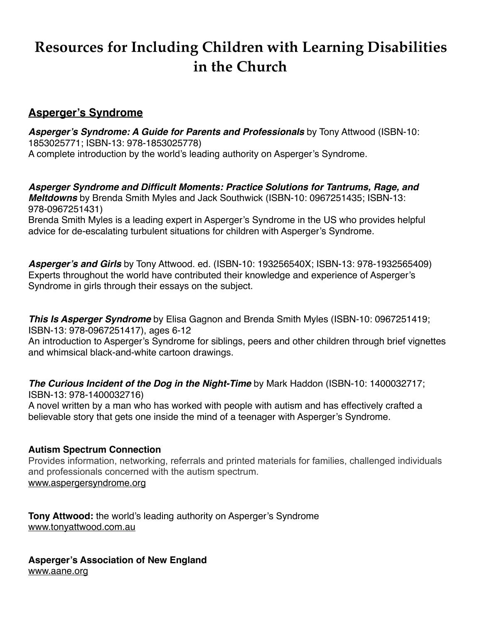## **Resources for Including Children with Learning Disabilities in the Church**

#### **Asperger's Syndrome**

*Asperger's Syndrome: A Guide for Parents and Professionals* by Tony Attwood (ISBN-10: 1853025771; ISBN-13: 978-1853025778) A complete introduction by the world's leading authority on Asperger's Syndrome.

*Asperger Syndrome and Difficult Moments: Practice Solutions for Tantrums, Rage, and Meltdowns* by Brenda Smith Myles and Jack Southwick (ISBN-10: 0967251435; ISBN-13: 978-0967251431) Brenda Smith Myles is a leading expert in Asperger's Syndrome in the US who provides helpful advice for de-escalating turbulent situations for children with Asperger's Syndrome.

*Asperger's and Girls* by Tony Attwood. ed. (ISBN-10: 193256540X; ISBN-13: 978-1932565409) Experts throughout the world have contributed their knowledge and experience of Asperger's Syndrome in girls through their essays on the subject.

*This Is Asperger Syndrome* by Elisa Gagnon and Brenda Smith Myles (ISBN-10: 0967251419; ISBN-13: 978-0967251417), ages 6-12

An introduction to Asperger's Syndrome for siblings, peers and other children through brief vignettes and whimsical black-and-white cartoon drawings.

**The Curious Incident of the Dog in the Night-Time** by Mark Haddon (ISBN-10: 1400032717; ISBN-13: 978-1400032716)

A novel written by a man who has worked with people with autism and has effectively crafted a believable story that gets one inside the mind of a teenager with Asperger's Syndrome.

#### **Autism Spectrum Connection**

Provides information, networking, referrals and printed materials for families, challenged individuals and professionals concerned with the autism spectrum. [www.aspergersyndrome.org](http://www.aspergersyndrome.org)

**Tony Attwood:** the world's leading authority on Asperger's Syndrome [www.tonyattwood.com.au](http://www.tonyattwood.com.au)

**Asperger's Association of New England** [www.aane.org](http://www.aane.org)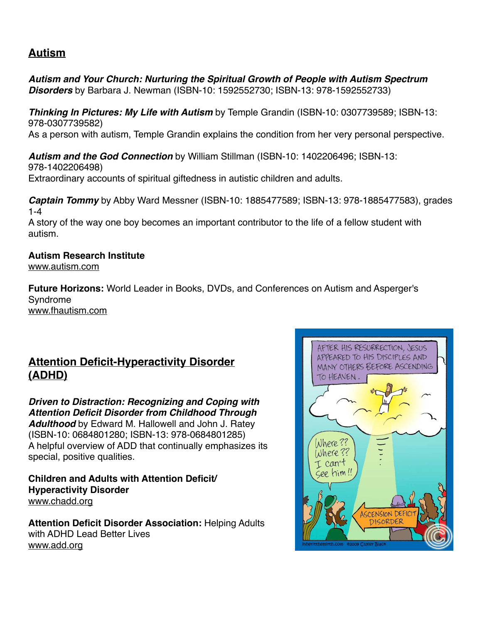### **Autism**

*Autism and Your Church: Nurturing the Spiritual Growth of People with Autism Spectrum Disorders* by Barbara J. Newman (ISBN-10: 1592552730; ISBN-13: 978-1592552733)

*Thinking In Pictures: My Life with Autism* by Temple Grandin (ISBN-10: 0307739589; ISBN-13: 978-0307739582) As a person with autism, Temple Grandin explains the condition from her very personal perspective.

*Autism and the God Connection* by William Stillman (ISBN-10: 1402206496; ISBN-13: 978-1402206498) Extraordinary accounts of spiritual giftedness in autistic children and adults.

*Captain Tommy* by Abby Ward Messner (ISBN-10: 1885477589; ISBN-13: 978-1885477583), grades 1-4

A story of the way one boy becomes an important contributor to the life of a fellow student with autism.

## **Autism Research Institute**

[www.autism.com](http://www.autism.com)

**Future Horizons:** World Leader in Books, DVDs, and Conferences on Autism and Asperger's Syndrome [www.fhautism.com](http://www.fhautism.com)

#### **Attention Deficit-Hyperactivity Disorder (ADHD)**

*Driven to Distraction: Recognizing and Coping with Attention Deficit Disorder from Childhood Through Adulthood* by Edward M. Hallowell and John J. Ratey (ISBN-10: 0684801280; ISBN-13: 978-0684801285) A helpful overview of ADD that continually emphasizes its special, positive qualities.

**Children and Adults with Attention Deficit/ Hyperactivity Disorder** [www.chadd.org](http://www.chadd.org)

**Attention Deficit Disorder Association:** Helping Adults with ADHD Lead Better Lives [www.add.org](http://www.add.org)